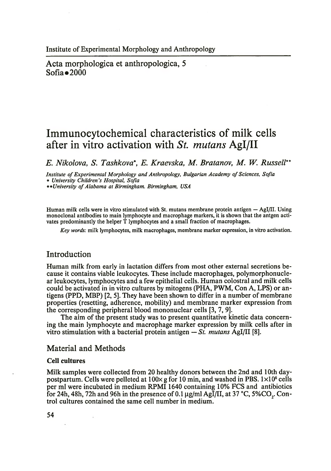Acta morphologica et anthropologica, 5 Sofia  $\bullet$  2000

# **Immunocytochemical characteristics of milk cells after in vitro activation with** *mutans* **Agl/II**

*E. Nikolova, S. Tashkova\*, E. Kraevska, M. Bratanov, M. W. Russell*\* \*

*Institute of Experimental Morphology and Anthropology, Bulgarian Academy of Sciences, Sofia \* University Children's Hospital, Sofia*

*\*\*University o f Alabama at Birmingham. Birmingham, USA*

Human milk cells were in vitro stimulated with St. mutans membrane protein antigen — Agl/II. Using monoclonal antibodies to main lymphocyte and macrophage markers, it is shown that the antgen activates predominantly the helper T lymphocytes and a small fraction of macrophages.

*Key words:* milk lymphocytes, milk macrophages, membrane marker expression, in vitro activation.

## Introduction

Human milk from early in lactation differs from most other external secretions because it contains viable leukocytes. These include macrophages, polymorphonuclear leukocytes, lymphocytes and a few epithelial cells. Human colostral and milk cells could be activated in in vitro cultures by mitogens (PHA, PWM, Con A, LPS) or antigens (PPD, MBP) [2, 5]. They have been shown to differ in a number of membrane properties (resetting, adherence, mobility) and membrane marker expression from the corresponding peripheral blood mononuclear cells [3, 7, 9].

The aim of the present study was to present quantitative kinetic data concerning the main lymphocyte and macrophage marker expression by milk cells after in vitro stimulation with a bacterial protein antigen *— St. mutans* Agl/II [8].

### Material and Methods

#### Cell cultures

Milk samples were collected from 20 healthy donors between the 2nd and 10th daypostpartum. Cells were pelleted at  $100 \times g$  for 10 min, and washed in PBS.  $1 \times 10^6$  cells per ml were incubated in medium RPMI 1640 containing 10% FCS and antibiotics for 24h, 48h, 72h and 96h in the presence of 0.1  $\mu$ g/ml AgI/II, at 37 °C, 5%CO<sub>a</sub>. Control cultures contained the same cell number in medium.

54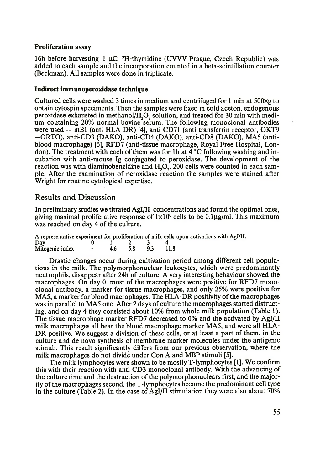#### Proliferation assay

16h before harvesting 1  $\mu$ Ci <sup>3</sup>H-thymidine (UVVV-Prague, Czech Republic) was added to each sample and the incorporation counted in a beta-scintillation counter (Beckman). All samples were done in triplicate.

#### Indirect immunoperoxidase technique

Cultured cells were washed 3 times in medium and centrifuged for 1 min at 500xg to obtain cytospin speciments. Then the samples were fixed in cold aceton, endogenous peroxidase exhausted in methanol/H20 2 solution, and treated for 30 min with medium containing 20% normal bovine serum. The following monoclonal antibodies were used — mBl (anti-HLA-DR) [4], anti-CD71 (anti-transferrin receptor, OKT9 -ORTO), anti-CD3 (DAKO), anti-CD4 (DAKO), anti-CD8 (DAKO), MA5 (antiblood macrophage) [6], RFD7 (anti-tissue macrophage, Royal Free Hospital, London). The treatment with each of them was for 1h at  $\overline{4}$  °C following washing and incubation with anti-mouse Ig conjugated to peroxidase. The development of the reaction was with diaminobenzidine and  $H_1O_2$ . 200 cells were counted in each sample. After the examination of peroxidase reaction the samples were stained after Wright for routine cytological expertise.

## Results and Discussion

In preliminary studies we titrated Agl/II concentrations and found the optimal ones, giving maximal proliferative response of  $1 \times 10^6$  cells to be 0.1µg/ml. This maximum was reached on day 4 of the culture.

| A representative experiment for proliferation of milk cells upon activations with AgI/II. |  |                           |     |        |  |
|-------------------------------------------------------------------------------------------|--|---------------------------|-----|--------|--|
| Day                                                                                       |  | $\mathbf{1}$ $\mathbf{2}$ |     |        |  |
| Mitogenic index - 4.6                                                                     |  | 5.8                       | 9.3 | - 11.8 |  |

Drastic changes occur during cultivation period among different cell populations in the milk. The polymorphonuclear leukocytes, which were predominantly neutrophils, disappear after 24h of culture. A very interesting behaviour showed the macrophages. On day 0, most of the macrophages were positive for RFD7 monoclonal antibody, a marker for tissue macrophages, and only 25% were positive for MA5, a marker for blood macrophages. The HLA-DR positivity of the macrophages was in parallel to MA5 one. After 2 days of culture the macrophages started distructing, and on day 4 they consisted about 10% from whole milk population (Table 1). The tissue macrophage marker RFD7 decreased to 0% and the activated by Agl/II milk macrophages all bear the blood macrophage marker MA5, and were all HLA-DR positive. We suggest a division of these cells, or at least a part of them, in the culture and de novo synthesis of membrane marker molecules under the antigenic stimuli. This result significantly differs from our previous observation, where the milk macrophages do not divide under Con A and MBP stimuli [5].

The milk lymphocytes were shown to be mostly T-lymphocytes [1]. We confirm this with their reaction with anti-CD3 monoclonal antibody. With the advancing of the culture time and the destruction of the polymorphonuclears first, and the majority of the macrophages second, the T-lymphocytes become the predominant cell type in the culture (Table 2). In the case of Agl/II stimulation they were also about 70%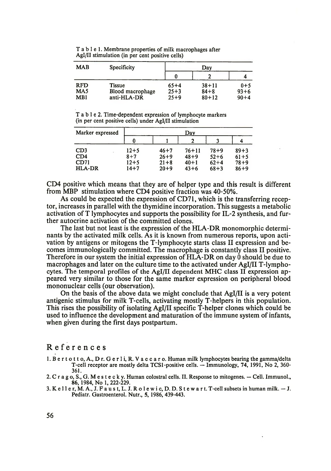T a b 1 e 1. Membrane properties of milk macrophages after AgI/II stimulation (in per cent positive cells)

| <b>MAB</b><br><b>Specificity</b> |                                           |                                | Day                                |                                 |  |  |
|----------------------------------|-------------------------------------------|--------------------------------|------------------------------------|---------------------------------|--|--|
|                                  |                                           |                                |                                    |                                 |  |  |
| <b>RFD</b><br>MA5<br>MB1         | Tissue<br>Blood macrophage<br>anti-HLA-DR | $65+4$<br>$25 + 3$<br>$25 + 9$ | $38 + 11$<br>$84 + 8$<br>$80 + 12$ | $0 + 5$<br>$93 + 6$<br>$90 + 4$ |  |  |

T a b 1 e 2. Time-dependent expression of lymphocyte markers (in per cent positive cells) under Agl/II stimulation

| Marker expressed      | Dav                  |                      |                      |                      |                      |  |
|-----------------------|----------------------|----------------------|----------------------|----------------------|----------------------|--|
|                       |                      |                      |                      |                      |                      |  |
| CD <sub>3</sub>       | $12 + 5$             | $46 + 7$             | $76 + 11$            | $78 + 9$             | $89 + 3$             |  |
| CD4                   | $8 + 7$              | $26 + 9$             | $48 + 9$             | $52 + 6$             | $61 + 5$             |  |
| CD71<br><b>HLA-DR</b> | $12 + 5$<br>$14 + 7$ | $21 + 8$<br>$20 + 9$ | $40 + 1$<br>$43 + 6$ | $62 + 4$<br>$68 + 3$ | $78 + 9$<br>$86 + 9$ |  |

CD4 positive which means that they are of helper type and this result is different from MBP stimulation where CD4 positive fraction was 40-50%.

As could be expected the expression of CD71, which is the transferring receptor, increases in parallel with the thymidine incorporation. This suggests a metabolic activation of T lymphocytes and supports the possibility for IL-2 synthesis, and further autocrine activation of the committed clones.

The last but not least is the expression of the HLA-DR monomorphic determinants by the activated milk cells. As it is known from numerous reports, upon activation by antigens or mitogens the T-lymphocyte starts class II expression and becomes immunologically committed. The macrophage is constantly class II positive. Therefore in our system the initial expression of HLA-DR on day 0 should be due to macrophages and later on the culture time to the activated under Agl/II T-lymphocytes. The temporal profiles of the Agl/II dependent MHC class II expression appeared very similar to those for the same marker expression on peripheral blood mononuclear cells (our observation).

On the basis of the above data we might conclude that Agl/II is a very potent antigenic stimulus for milk T-cells, activating mostly T-helpers in this population. This rises the possibility of isolating Agl/II specific T-helper clones which could be used to influence the development and maturation of the immune system of infants, when given during the first days postpartum.

## References

- 1. B e r t o t t o, A., D r. G e r l i, R. V a c c a r o. Human milk lymphocytes bearing the gamma/delta T-cell receptor are mostly delta TCS1-positive cells. — Immunology, 74, 1991, No 2, 360- 361.
- 2. C r a g o, S., G. M e s t e c k y. Human colostral cells. II. Response to mitogenes. Cell. Immunol., 86, 1984, No 1, 222-229.
- 3. K е 11 е r, M. A., J. F a u s t, L. J. R o 1 e w i c, D. D. S t e w a r t. T-cell subsets in human milk. J. Pediatr. Gastroenterol. Nutr., 5, 1986, 439-443.